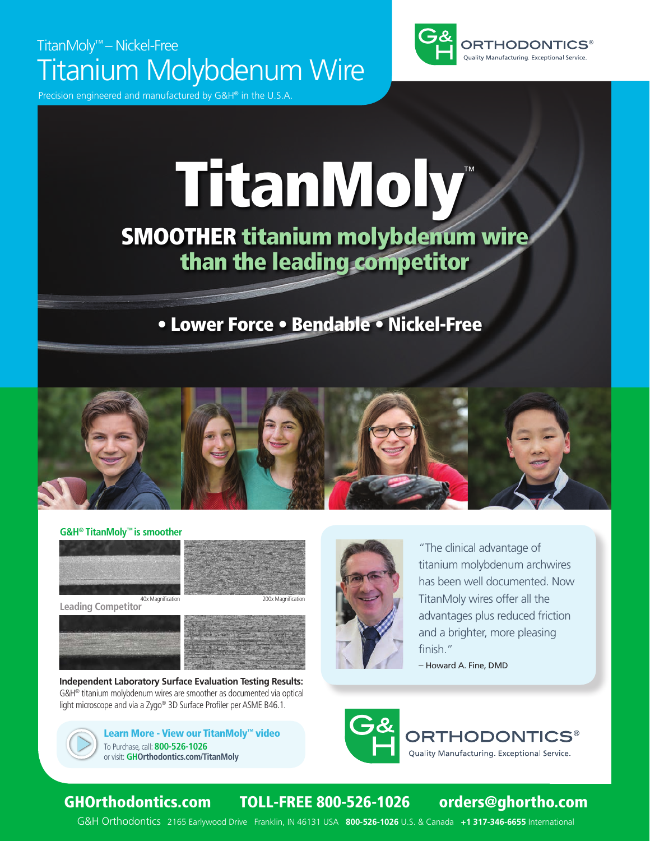# TitanMoly™ – Nickel-Free Titanium Molybdenum Wire

Precision engineered and manufactured by  $G&H^{\circledast}$  in the U.S.



# TitanMoly™

# SMOOTHER titanium molybdenum wire than the leading competitor

### • Lower Force • Bendable • Nickel-Free



### **G&H® TitanMoly™ is smoother**



**Leading Competitor**







**Independent Laboratory Surface Evaluation Testing Results:** G&H® titanium molybdenum wires are smoother as documented via optical light microscope and via a Zygo® 3D Surface Profiler per ASME B46.1.





"The clinical advantage of titanium molybdenum archwires has been well documented. Now TitanMoly wires offer all the advantages plus reduced friction and a brighter, more pleasing finish."

– Howard A. Fine, DMD





### GHOrthodontics.com TOLL-FREE 800-526-1026 orders@ghortho.com

G&H Orthodontics 2165 Earlywood Drive Franklin, IN 46131 USA **800-526-1026** U.S. & Canada **+1 317-346-6655** International